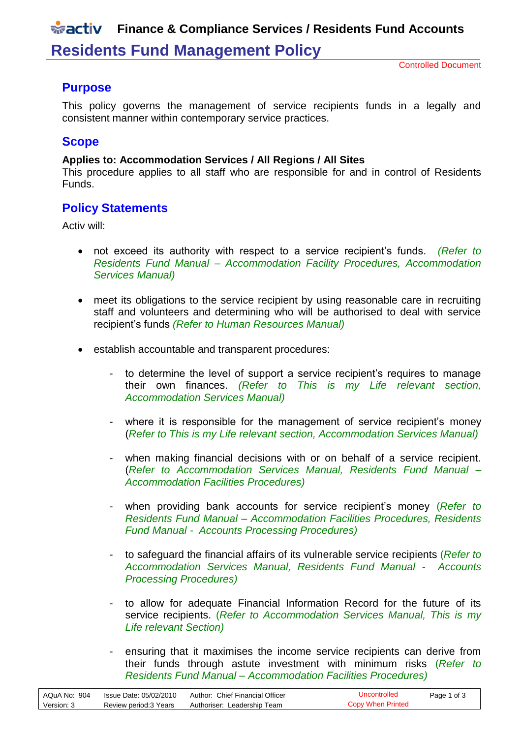## **Finance & Compliance Services / Residents Fund Accounts**

## **Residents Fund Management Policy**

Controlled Document

#### **Purpose**

This policy governs the management of service recipients funds in a legally and consistent manner within contemporary service practices.

#### **Scope**

#### **Applies to: Accommodation Services / All Regions / All Sites**

This procedure applies to all staff who are responsible for and in control of Residents Funds.

#### **Policy Statements**

Activ will:

- not exceed its authority with respect to a service recipient's funds. *(Refer to Residents Fund Manual – Accommodation Facility Procedures, Accommodation Services Manual)*
- meet its obligations to the service recipient by using reasonable care in recruiting staff and volunteers and determining who will be authorised to deal with service recipient's funds *(Refer to Human Resources Manual)*
- establish accountable and transparent procedures:
	- to determine the level of support a service recipient's requires to manage their own finances. *(Refer to This is my Life relevant section, Accommodation Services Manual)*
	- where it is responsible for the management of service recipient's money (*Refer to This is my Life relevant section, Accommodation Services Manual)*
	- when making financial decisions with or on behalf of a service recipient. (*Refer to Accommodation Services Manual, Residents Fund Manual – Accommodation Facilities Procedures)*
	- when providing bank accounts for service recipient's money (*Refer to Residents Fund Manual – Accommodation Facilities Procedures, Residents Fund Manual - Accounts Processing Procedures)*
	- to safeguard the financial affairs of its vulnerable service recipients (*Refer to Accommodation Services Manual, Residents Fund Manual - Accounts Processing Procedures)*
	- to allow for adequate Financial Information Record for the future of its service recipients. (*Refer to Accommodation Services Manual, This is my Life relevant Section)*
	- ensuring that it maximises the income service recipients can derive from their funds through astute investment with minimum risks (*Refer to Residents Fund Manual – Accommodation Facilities Procedures)*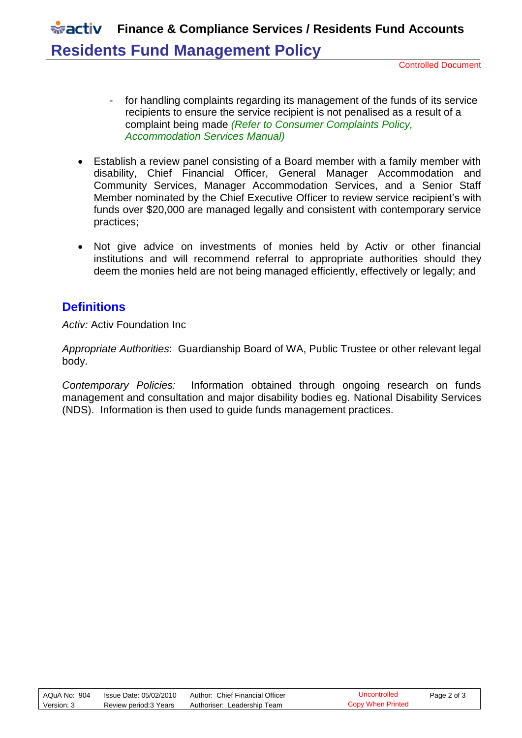# **FINALLY Finance & Compliance Services / Residents Fund Accounts Residents Fund Management Policy**

Controlled Document

- for handling complaints regarding its management of the funds of its service recipients to ensure the service recipient is not penalised as a result of a complaint being made *(Refer to Consumer Complaints Policy, Accommodation Services Manual)*
- Establish a review panel consisting of a Board member with a family member with disability, Chief Financial Officer, General Manager Accommodation and Community Services, Manager Accommodation Services, and a Senior Staff Member nominated by the Chief Executive Officer to review service recipient's with funds over \$20,000 are managed legally and consistent with contemporary service practices;
- Not give advice on investments of monies held by Activ or other financial institutions and will recommend referral to appropriate authorities should they deem the monies held are not being managed efficiently, effectively or legally; and

#### **Definitions**

*Activ:* Activ Foundation Inc

*Appropriate Authorities*: Guardianship Board of WA, Public Trustee or other relevant legal body.

*Contemporary Policies:* Information obtained through ongoing research on funds management and consultation and major disability bodies eg. National Disability Services (NDS). Information is then used to guide funds management practices.

| AQuA No: 904 | Issue Date: 05/02/2010 | Author: Chief Financial Officer | Uncontrolled      | Page 2 of 3 |
|--------------|------------------------|---------------------------------|-------------------|-------------|
| Version: 3   | Review period:3 Years  | Authoriser: Leadership Team     | Copy When Printed |             |